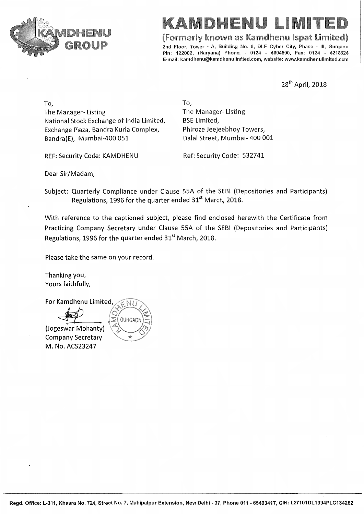

## IDEEPNU

(Formerly known as Kamdhenu Ispat Limited)

2nd Floor, Tower - A, Building No. 9, DLF Cyber City, Phase - III, Gurgaon Pin: 122002, (Haryana) Phone: - 0124 - 4604500, Fax: 0124 - 4218524 E-mail: kamdhenu@kamdhenulimited.com, website: www.kamdhenulimited.com

28<sup>th</sup> April, 2018

To, The Manager-Listing National Stock Exchange of India Limited, Exchange Plaza, Bandra Kurla Complex, Bandra(E), Mumbai-400 051

REF: Security Code: KAMDHENU

To, The Manager-Listing **BSE Limited,** Phiroze Jeejeebhoy Towers, Dalal Street, Mumbai- 400 001

Ref: Security Code: 532741

Dear Sir/Madam,

Subject: Quarterly Compliance under Clause 55A of the SEBI (Depositories and Participants) Regulations, 1996 for the quarter ended 31<sup>st</sup> March, 2018.

With reference to the captioned subject, please find enclosed herewith the Certificate from Practicing Company Secretary under Clause 55A of the SEBI (Depositories and Participants) Regulations, 1996 for the quarter ended 31<sup>st</sup> March, 2018.

Please take the same on your record.

Thanking you, Yours faithfully,

For Kamdhenu Limited,

(Jogeswar Mohanty) **Company Secretary** M. No. ACS23247

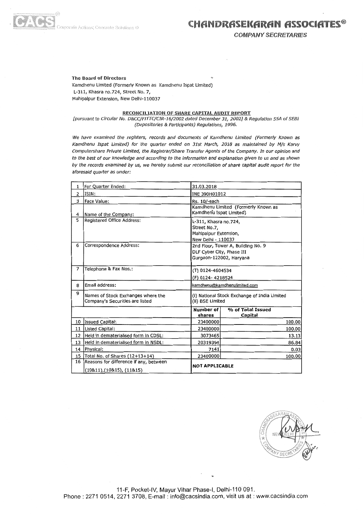

**COMPANY SECRETARIES** 

## **The Board of Directors**

Kamdhenu Limited (Formerly Known as Kamdhenu Ispat Limited) L-311, Khasra no.724, Street No. 7, Mahipalpur Extension, New Delhi-110037

## **RECONCILIATION OF SHARE CAPITAL AUDIT REPORT**

[pursuant to Circular No. D&CC/FITTC/CIR-16/2002 dated December 31, 2002] & Regulation 55A of SEBI (Depositories & Participants) Regulations, 1996.

We have examined the registers, records and documents of Kamdhenu Limited (Formerly Known as Kamdhenu Ispat Limited) for the quarter ended on 31st March, 2018 as maintained by M/s Karvy Computershare Private Limited, the Registrar/Share Transfer Agents of the Company. In our opinion and to the best of our knowledge and according to the information and explanation given to us and as shown by the records examined by us, we hereby submit our reconciliation of share capital audit report for the aforesaid quarter as under:

| 1              | For Quarter Ended:                                                          | 31.03.2018                 |                                                                                            |  |  |  |  |
|----------------|-----------------------------------------------------------------------------|----------------------------|--------------------------------------------------------------------------------------------|--|--|--|--|
| $\overline{2}$ | ISIN:                                                                       |                            | INE 390H01012                                                                              |  |  |  |  |
| 3              | Face Value:                                                                 | Rs. 10/-each               |                                                                                            |  |  |  |  |
| 4              | Name of the Company:                                                        | Kamdhenu Ispat Limited)    | Kamdhenu Limited (Formerly Known as                                                        |  |  |  |  |
| 5              | <b>Registered Office Address:</b>                                           | Street No.7,               | L-311, Khasra no.724,<br>Mahipalpur Extension,<br>New Delhi - 110037                       |  |  |  |  |
| 6              | Correspondence Address:                                                     |                            | 2nd Floor, Tower A, Building No. 9<br>DLF Cyber City, Phase III<br>Gurgaon-122002, Haryana |  |  |  |  |
| 7              | Telephone & Fax Nos.:                                                       |                            | (T) 0124-4604534<br>(F) 0124-4218524                                                       |  |  |  |  |
| 8              | Email address:                                                              |                            | kamdhenu@kamdhenulimited.com                                                               |  |  |  |  |
| 9              | Names of Stock Exchanges where the<br>Company's Securities are listed       |                            | (i) National Stock Exchange of India Limited<br>(II) BSE Limited                           |  |  |  |  |
|                |                                                                             | <b>Number of</b><br>shares | % of Total Issued<br>Capital                                                               |  |  |  |  |
| 10             | <b>Issued Capital:</b>                                                      | 23400000                   | 100.00                                                                                     |  |  |  |  |
|                | 11   Listed Capital:                                                        | 23400000                   | 100.00                                                                                     |  |  |  |  |
|                | 12 Held in dematerialised form in CDSL:                                     | 3073465                    | 13.13                                                                                      |  |  |  |  |
| 13             | Held in dematerialised form in NSDL:                                        | 20319394                   | 86.84                                                                                      |  |  |  |  |
|                | 14   Physical:                                                              | 7141                       | 0.03                                                                                       |  |  |  |  |
|                | 15 Total No. of Shares (12+13+14)                                           | 23400000                   | 100.00                                                                                     |  |  |  |  |
| 16             | Reasons for difference if any, between<br>$(10811)$ , $(10815)$ , $(11815)$ |                            | <b>NOT APPLICABLE</b>                                                                      |  |  |  |  |



11-F, Pocket-IV, Mayur Vihar Phase-I, Delhi-110 091. Phone: 2271 0514, 2271 3708, E-mail: info@cacsindia.com, visit us at: www.cacsindia.com